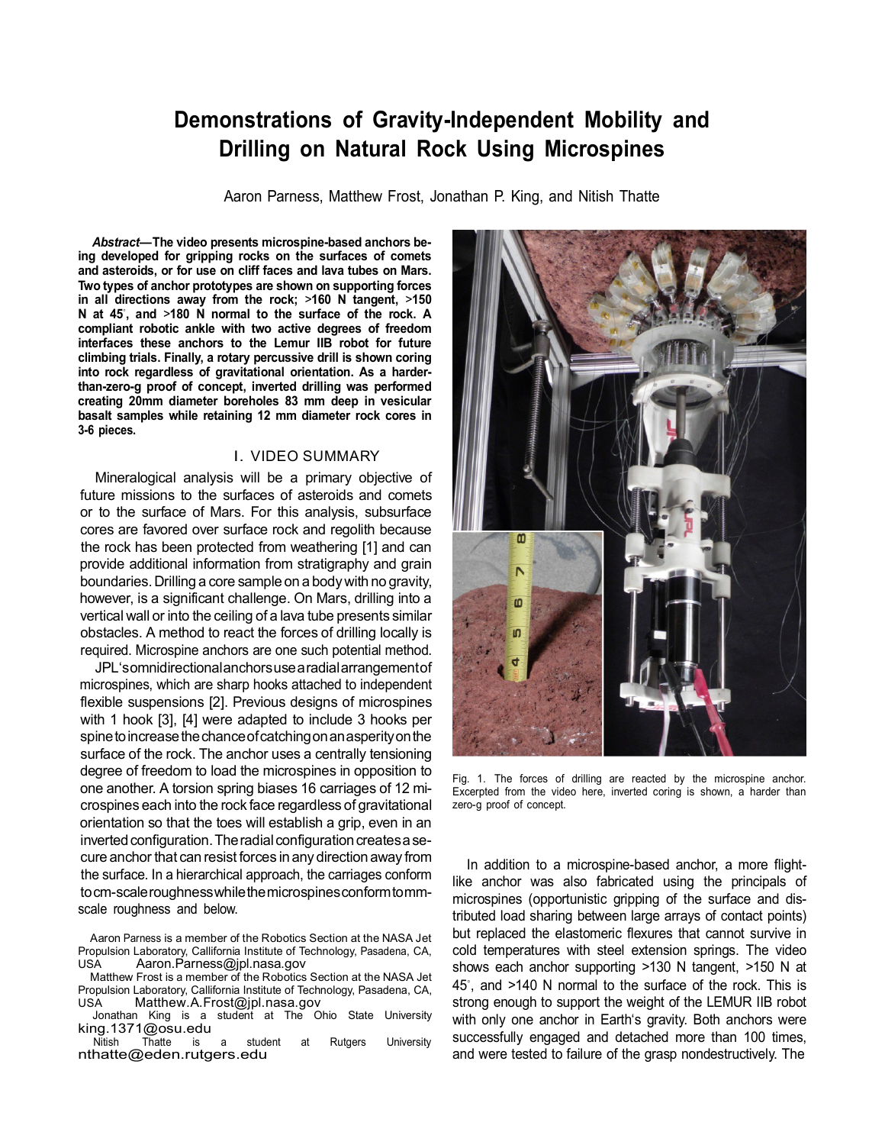## **Demonstrations of Gravity-Independent Mobility and Drilling on Natural Rock Using Microspines**

Aaron Parness, Matthew Frost, Jonathan P. King, and Nitish Thatte

*Abstract***— The video presents microspine-based anchors being developed for gripping rocks on the surfaces of comets and asteroids, or for use on cliff faces and lava tubes on Mars. Two types of anchor prototypes are shown on supporting forces in all directions away from the rock;** *>***160 N tangent,** *>***150 N at 45***◦* **, and** *>***180 N normal to the surface of the rock. A compliant robotic ankle with two active degrees of freedom interfaces these anchors to the Lemur IIB robot for future climbing trials. Finally, a rotary percussive drill is shown coring into rock regardless of gravitational orientation. As a harderthan-zero-g proof of concept, inverted drilling was performed creating 20mm diameter boreholes 83 mm deep in vesicular basalt samples while retaining 12 mm diameter rock cores in 3-6 pieces.**

## I. VIDEO SUMMARY

Mineralogical analysis will be a primary objective of future missions to the surfaces of asteroids and comets or to the surface of Mars. For this analysis, subsurface cores are favored over surface rock and regolith because the rock has been protected from weathering [1] and can provide additional information from stratigraphy and grain boundaries.Drilling a core sample on a bodywith no gravity, however, is a significant challenge. On Mars, drilling into a vertical wall or into the ceiling of a lava tube presents similar obstacles. A method to react the forces of drilling locally is required. Microspine anchors are one such potential method.

JPL'somnidirectionalanchorsuse a radialarrangementof microspines, which are sharp hooks attached to independent flexible suspensions [2]. Previous designs of microspines with 1 hook [3], [4] were adapted to include 3 hooks per spine to increase the chance of catching on an asperity on the surface of the rock. The anchor uses a centrally tensioning degree of freedom to load the microspines in opposition to one another. A torsion spring biases 16 carriages of 12 microspines each into the rock face regardless of gravitational orientation so that the toes will establish a grip, even in an inverted configuration. The radial configuration creates a secure anchor that can resist forces in any direction away from the surface. In a hierarchical approach, the carriages conform tocm-scaleroughnesswhilethemicrospinesconformtommscale roughness and below.

Aaron Parness is a member of the Robotics Section at the NASA Jet Propulsion Laboratory, Callifornia Institute of Technology, Pasadena, CA, USA [Aaron.Parness@jpl.nasa.gov](mailto:Aaron.Parness@jpl.nasa.gov)

Matthew Frost is a member of the Robotics Section at the NASA Jet Propulsion Laboratory, Callifornia Institute of Technology, Pasadena, CA, USA [Matthew.A.Frost@jpl.nasa.gov](mailto:Matthew.A.Frost@jpl.nasa.gov)

Jonathan King is a student at The Ohio State University [king.1371@osu.edu](mailto:king.1371@osu.edu)<br>Nitish Thatte is

Thatte is a student at Rutgers University [nthatte@eden.rutgers.edu](mailto:nthatte@eden.rutgers.edu)



Fig. 1. The forces of drilling are reacted by the microspine anchor. Excerpted from the video here, inverted coring is shown, a harder than zero-g proof of concept.

In addition to a microspine-based anchor, a more flightlike anchor was also fabricated using the principals of microspines (opportunistic gripping of the surface and distributed load sharing between large arrays of contact points) but replaced the elastomeric flexures that cannot survive in cold temperatures with steel extension springs. The video shows each anchor supporting *>*130 N tangent, *>*150 N at 45*◦* , and *>*140 N normal to the surface of the rock. This is strong enough to support the weight of the LEMUR IIB robot with only one anchor in Earth's gravity. Both anchors were successfully engaged and detached more than 100 times, and were tested to failure of the grasp nondestructively. The